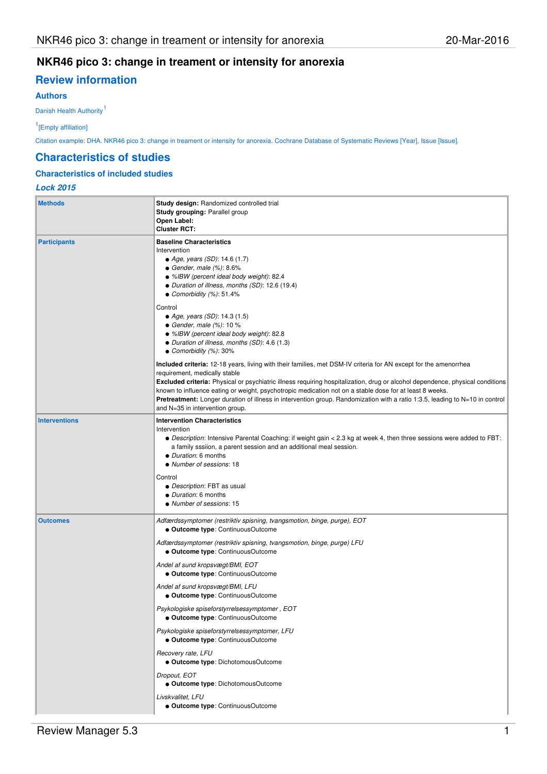# **NKR46 pico 3: change in treament or intensity for anorexia**

# **Review information**

## **Authors**

Danish Health Authority<sup>1</sup>

1 [Empty affiliation]

Citation example: DHA. NKR46 pico 3: change in treament or intensity for anorexia. Cochrane Database of Systematic Reviews [Year], Issue [Issue].

### **Characteristics of studies**

## **Characteristics of included studies**

## **Lock 2015**

| <b>Methods</b>       | Study design: Randomized controlled trial<br>Study grouping: Parallel group<br>Open Label:<br><b>Cluster RCT:</b>                                                                                                                                                                                                                                                                                                                                                                                                                                                                                                                                                                                                                     |  |  |  |
|----------------------|---------------------------------------------------------------------------------------------------------------------------------------------------------------------------------------------------------------------------------------------------------------------------------------------------------------------------------------------------------------------------------------------------------------------------------------------------------------------------------------------------------------------------------------------------------------------------------------------------------------------------------------------------------------------------------------------------------------------------------------|--|--|--|
| <b>Participants</b>  | <b>Baseline Characteristics</b><br>Intervention<br>• Age, years (SD): 14.6 (1.7)<br>• Gender, male $(\%)$ : 8.6%<br>• %IBW (percent ideal body weight): 82.4<br>• Duration of illness, months (SD): 12.6 (19.4)<br>• Comorbidity $(%): 51.4%$                                                                                                                                                                                                                                                                                                                                                                                                                                                                                         |  |  |  |
|                      | Control<br>• Age, years (SD): 14.3 (1.5)<br>• Gender, male $(\%)$ : 10 %<br>• %IBW (percent ideal body weight): 82.8<br>• Duration of illness, months (SD): 4.6 (1.3)<br>• Comorbidity $(%): 30\%$                                                                                                                                                                                                                                                                                                                                                                                                                                                                                                                                    |  |  |  |
|                      | <b>Included criteria:</b> 12-18 years, living with their families, met DSM-IV criteria for AN except for the amenorrhea<br>requirement, medically stable<br>Excluded criteria: Physical or psychiatric illness requiring hospitalization, drug or alcohol dependence, physical conditions<br>known to influence eating or weight, psychotropic medication not on a stable dose for at least 8 weeks.<br><b>Pretreatment:</b> Longer duration of illness in intervention group. Randomization with a ratio 1:3.5, leading to N=10 in control<br>and N=35 in intervention group.                                                                                                                                                        |  |  |  |
| <b>Interventions</b> | <b>Intervention Characteristics</b><br>Intervention<br>• Description: Intensive Parental Coaching: if weight gain < 2.3 kg at week 4, then three sessions were added to FBT:<br>a family sssiion, a parent session and an additional meal session.<br>• Duration: 6 months<br>• Number of sessions: 18<br>Control<br>• Description: FBT as usual<br>• Duration: 6 months<br>• Number of sessions: 15                                                                                                                                                                                                                                                                                                                                  |  |  |  |
| <b>Outcomes</b>      | Adfærdssymptomer (restriktiv spisning, tvangsmotion, binge, purge), EOT<br>· Outcome type: ContinuousOutcome<br>Adfærdssymptomer (restriktiv spisning, tvangsmotion, binge, purge) LFU<br>· Outcome type: ContinuousOutcome<br>Andel af sund kropsvægt/BMI, EOT<br>• Outcome type: ContinuousOutcome<br>Andel af sund kropsvægt/BMI, LFU<br>· Outcome type: ContinuousOutcome<br>Psykologiske spiseforstyrrelsessymptomer, EOT<br>· Outcome type: ContinuousOutcome<br>Psykologiske spiseforstyrrelsessymptomer, LFU<br>· Outcome type: ContinuousOutcome<br>Recovery rate, LFU<br>• Outcome type: DichotomousOutcome<br>Dropout, EOT<br>• Outcome type: DichotomousOutcome<br>Livskvalitet, LFU<br>• Outcome type: ContinuousOutcome |  |  |  |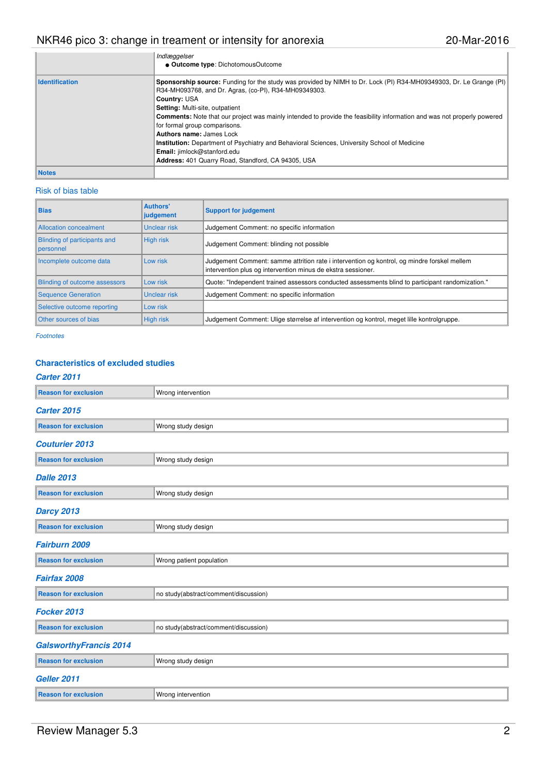# NKR46 pico 3: change in treament or intensity for anorexia 20 mar-2016

|                       | Indlæggelser                                                                                                                                                                                                                                                                                                                                                                                                                                                                                                                                                                                                              |
|-----------------------|---------------------------------------------------------------------------------------------------------------------------------------------------------------------------------------------------------------------------------------------------------------------------------------------------------------------------------------------------------------------------------------------------------------------------------------------------------------------------------------------------------------------------------------------------------------------------------------------------------------------------|
|                       | • Outcome type: DichotomousOutcome                                                                                                                                                                                                                                                                                                                                                                                                                                                                                                                                                                                        |
| <b>Identification</b> | Sponsorship source: Funding for the study was provided by NIMH to Dr. Lock (PI) R34-MH09349303, Dr. Le Grange (PI)<br>R34-MH093768, and Dr. Agras, (co-PI), R34-MH09349303.<br>Country: USA<br>Setting: Multi-site, outpatient<br><b>Comments:</b> Note that our project was mainly intended to provide the feasibility information and was not properly powered<br>for formal group comparisons.<br>Authors name: James Lock<br><b>Institution:</b> Department of Psychiatry and Behavioral Sciences, University School of Medicine<br>Email: jimlock@stanford.edu<br>Address: 401 Quarry Road, Standford, CA 94305, USA |
| <b>Notes</b>          |                                                                                                                                                                                                                                                                                                                                                                                                                                                                                                                                                                                                                           |

## Risk of bias table

| <b>Bias</b>                               | <b>Authors'</b><br>judgement | <b>Support for judgement</b>                                                                                                                                |  |  |
|-------------------------------------------|------------------------------|-------------------------------------------------------------------------------------------------------------------------------------------------------------|--|--|
| Allocation concealment                    | <b>Unclear risk</b>          | Judgement Comment: no specific information                                                                                                                  |  |  |
| Blinding of participants and<br>personnel | High risk                    | Judgement Comment: blinding not possible                                                                                                                    |  |  |
| Incomplete outcome data                   | Low risk                     | Judgement Comment: samme attrition rate i intervention og kontrol, og mindre forskel mellem<br>intervention plus og intervention minus de ekstra sessioner. |  |  |
| Blinding of outcome assessors             | Low risk                     | Quote: "Independent trained assessors conducted assessments blind to participant randomization."                                                            |  |  |
| <b>Sequence Generation</b>                | Unclear risk                 | Judgement Comment: no specific information                                                                                                                  |  |  |
| Selective outcome reporting               | Low risk                     |                                                                                                                                                             |  |  |
| Other sources of bias                     | <b>High risk</b>             | Judgement Comment: Ulige størrelse af intervention og kontrol, meget lille kontrolgruppe.                                                                   |  |  |

Footnotes

## **Characteristics of excluded studies**

## **Carter 2011**

| <b>Reason for exclusion</b>   | Wrong intervention                    |  |  |  |  |
|-------------------------------|---------------------------------------|--|--|--|--|
| <b>Carter 2015</b>            |                                       |  |  |  |  |
| <b>Reason for exclusion</b>   | Wrong study design                    |  |  |  |  |
| <b>Couturier 2013</b>         |                                       |  |  |  |  |
| <b>Reason for exclusion</b>   | Wrong study design                    |  |  |  |  |
| <b>Dalle 2013</b>             |                                       |  |  |  |  |
| <b>Reason for exclusion</b>   | Wrong study design                    |  |  |  |  |
| <b>Darcy 2013</b>             |                                       |  |  |  |  |
| <b>Reason for exclusion</b>   | Wrong study design                    |  |  |  |  |
| Fairburn 2009                 |                                       |  |  |  |  |
| <b>Reason for exclusion</b>   | Wrong patient population              |  |  |  |  |
| Fairfax 2008                  |                                       |  |  |  |  |
| <b>Reason for exclusion</b>   | no study(abstract/comment/discussion) |  |  |  |  |
| Focker 2013                   |                                       |  |  |  |  |
| <b>Reason for exclusion</b>   | no study(abstract/comment/discussion) |  |  |  |  |
| <b>GalsworthyFrancis 2014</b> |                                       |  |  |  |  |
| <b>Reason for exclusion</b>   | Wrong study design                    |  |  |  |  |
| Geller 2011                   |                                       |  |  |  |  |
| <b>Reason for exclusion</b>   | Wrong intervention                    |  |  |  |  |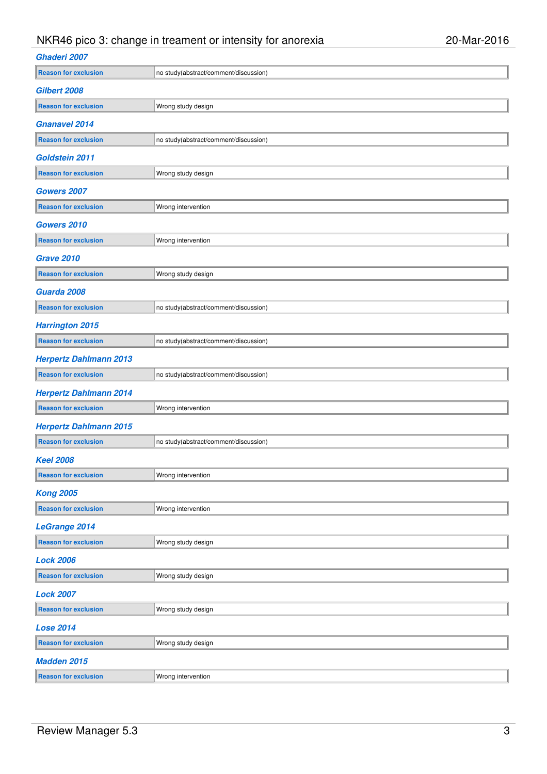# NKR46 pico 3: change in treament or intensity for anorexia 20 - 20-Mar-2016

| Ghaderi 2007                  |                                       |  |  |  |
|-------------------------------|---------------------------------------|--|--|--|
| <b>Reason for exclusion</b>   | no study(abstract/comment/discussion) |  |  |  |
| Gilbert 2008                  |                                       |  |  |  |
| <b>Reason for exclusion</b>   | Wrong study design                    |  |  |  |
| <b>Gnanavel 2014</b>          |                                       |  |  |  |
| <b>Reason for exclusion</b>   | no study(abstract/comment/discussion) |  |  |  |
| Goldstein 2011                |                                       |  |  |  |
| <b>Reason for exclusion</b>   | Wrong study design                    |  |  |  |
| Gowers 2007                   |                                       |  |  |  |
| <b>Reason for exclusion</b>   | Wrong intervention                    |  |  |  |
| <b>Gowers 2010</b>            |                                       |  |  |  |
| <b>Reason for exclusion</b>   | Wrong intervention                    |  |  |  |
| <b>Grave 2010</b>             |                                       |  |  |  |
| <b>Reason for exclusion</b>   | Wrong study design                    |  |  |  |
| Guarda 2008                   |                                       |  |  |  |
| <b>Reason for exclusion</b>   | no study(abstract/comment/discussion) |  |  |  |
| <b>Harrington 2015</b>        |                                       |  |  |  |
| <b>Reason for exclusion</b>   | no study(abstract/comment/discussion) |  |  |  |
| <b>Herpertz Dahlmann 2013</b> |                                       |  |  |  |
| <b>Reason for exclusion</b>   | no study(abstract/comment/discussion) |  |  |  |
| <b>Herpertz Dahlmann 2014</b> |                                       |  |  |  |
| <b>Reason for exclusion</b>   | Wrong intervention                    |  |  |  |
| <b>Herpertz Dahlmann 2015</b> |                                       |  |  |  |
| <b>Reason for exclusion</b>   | no study(abstract/comment/discussion) |  |  |  |
| <b>Keel 2008</b>              |                                       |  |  |  |
| <b>Reason for exclusion</b>   | Wrong intervention                    |  |  |  |
| <b>Kong 2005</b>              |                                       |  |  |  |
| <b>Reason for exclusion</b>   | Wrong intervention                    |  |  |  |
| <b>LeGrange 2014</b>          |                                       |  |  |  |
| <b>Reason for exclusion</b>   | Wrong study design                    |  |  |  |
| <b>Lock 2006</b>              |                                       |  |  |  |
| <b>Reason for exclusion</b>   | Wrong study design                    |  |  |  |
| <b>Lock 2007</b>              |                                       |  |  |  |
| <b>Reason for exclusion</b>   | Wrong study design                    |  |  |  |
| <b>Lose 2014</b>              |                                       |  |  |  |
| <b>Reason for exclusion</b>   | Wrong study design                    |  |  |  |
| <b>Madden 2015</b>            |                                       |  |  |  |
| <b>Reason for exclusion</b>   | Wrong intervention                    |  |  |  |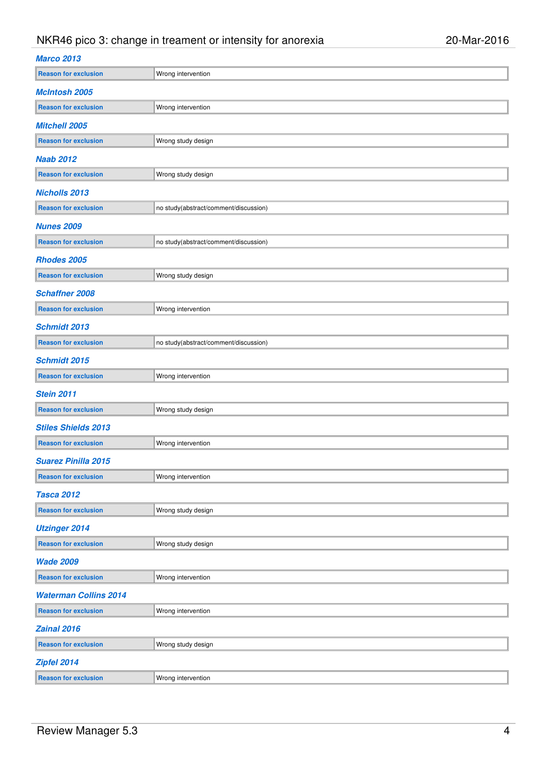# NKR46 pico 3: change in treament or intensity for anorexia 20 - 20-Mar-2016

| <b>Marco 2013</b>            |                                       |
|------------------------------|---------------------------------------|
| <b>Reason for exclusion</b>  | Wrong intervention                    |
| <b>McIntosh 2005</b>         |                                       |
| <b>Reason for exclusion</b>  | Wrong intervention                    |
| <b>Mitchell 2005</b>         |                                       |
| <b>Reason for exclusion</b>  | Wrong study design                    |
| <b>Naab 2012</b>             |                                       |
| <b>Reason for exclusion</b>  | Wrong study design                    |
| <b>Nicholls 2013</b>         |                                       |
| <b>Reason for exclusion</b>  | no study(abstract/comment/discussion) |
| <b>Nunes 2009</b>            |                                       |
| <b>Reason for exclusion</b>  | no study(abstract/comment/discussion) |
| Rhodes 2005                  |                                       |
| <b>Reason for exclusion</b>  | Wrong study design                    |
| <b>Schaffner 2008</b>        |                                       |
| <b>Reason for exclusion</b>  | Wrong intervention                    |
| <b>Schmidt 2013</b>          |                                       |
| <b>Reason for exclusion</b>  | no study(abstract/comment/discussion) |
| <b>Schmidt 2015</b>          |                                       |
| <b>Reason for exclusion</b>  | Wrong intervention                    |
| <b>Stein 2011</b>            |                                       |
| <b>Reason for exclusion</b>  | Wrong study design                    |
| <b>Stiles Shields 2013</b>   |                                       |
| <b>Reason for exclusion</b>  | Wrong intervention                    |
| <b>Suarez Pinilla 2015</b>   |                                       |
| <b>Reason for exclusion</b>  | Wrong intervention                    |
| <b>Tasca 2012</b>            |                                       |
| <b>Reason for exclusion</b>  | Wrong study design                    |
| <b>Utzinger 2014</b>         |                                       |
| <b>Reason for exclusion</b>  | Wrong study design                    |
| <b>Wade 2009</b>             |                                       |
| <b>Reason for exclusion</b>  | Wrong intervention                    |
| <b>Waterman Collins 2014</b> |                                       |
| <b>Reason for exclusion</b>  | Wrong intervention                    |
| <b>Zainal 2016</b>           |                                       |
| <b>Reason for exclusion</b>  | Wrong study design                    |
| Zipfel 2014                  |                                       |
| <b>Reason for exclusion</b>  | Wrong intervention                    |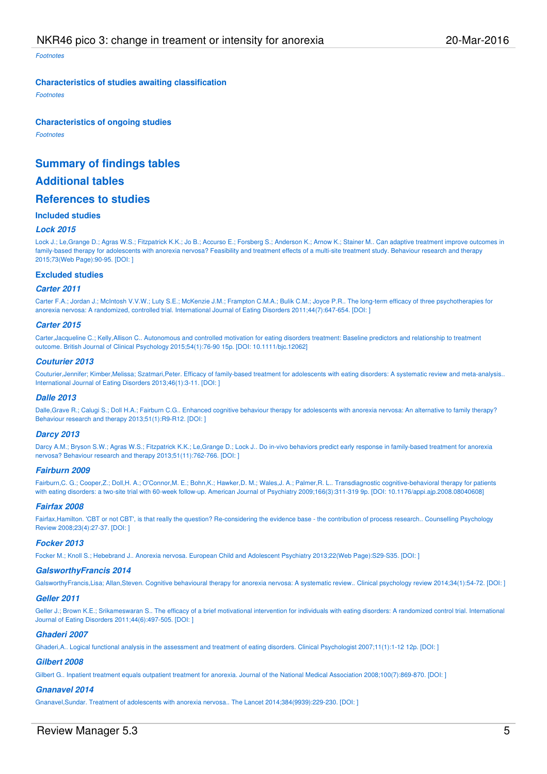Footnotes

#### **Characteristics of studies awaiting classification**

Footnotes

#### **Characteristics of ongoing studies**

Footnotes

## **Summary of findings tables**

## **Additional tables**

## **References to studies**

#### **Included studies**

#### **Lock 2015**

Lock J.; Le,Grange D.; Agras W.S.; Fitzpatrick K.K.; Jo B.; Accurso E.; Forsberg S.; Anderson K.; Arnow K.; Stainer M.. Can adaptive treatment improve outcomes in family-based therapy for adolescents with anorexia nervosa? Feasibility and treatment effects of a multi-site treatment study. Behaviour research and therapy 2015;73(Web Page):90-95. [DOI: ]

#### **Excluded studies**

#### **Carter 2011**

Carter F.A.; Jordan J.; McIntosh V.V.W.; Luty S.E.; McKenzie J.M.; Frampton C.M.A.; Bulik C.M.; Joyce P.R.. The long-term efficacy of three psychotherapies for anorexia nervosa: A randomized, controlled trial. International Journal of Eating Disorders 2011;44(7):647-654. [DOI: ]

#### **Carter 2015**

Carter,Jacqueline C.; Kelly,Allison C.. Autonomous and controlled motivation for eating disorders treatment: Baseline predictors and relationship to treatment outcome. British Journal of Clinical Psychology 2015;54(1):76-90 15p. [DOI: 10.1111/bjc.12062]

#### **Couturier 2013**

Couturier,Jennifer; Kimber,Melissa; Szatmari,Peter. Efficacy of family-based treatment for adolescents with eating disorders: A systematic review and meta-analysis.. International Journal of Eating Disorders 2013;46(1):3-11. [DOI: ]

#### **Dalle 2013**

Dalle,Grave R.; Calugi S.; Doll H.A.; Fairburn C.G.. Enhanced cognitive behaviour therapy for adolescents with anorexia nervosa: An alternative to family therapy? Behaviour research and therapy 2013;51(1):R9-R12. [DOI: ]

#### **Darcy 2013**

Darcy A.M.; Bryson S.W.; Agras W.S.; Fitzpatrick K.K.; Le,Grange D.; Lock J.. Do in-vivo behaviors predict early response in family-based treatment for anorexia nervosa? Behaviour research and therapy 2013;51(11):762-766. [DOI: ]

#### **Fairburn 2009**

Fairburn,C. G.; Cooper,Z.; Doll,H. A.; O'Connor,M. E.; Bohn,K.; Hawker,D. M.; Wales,J. A.; Palmer,R. L.. Transdiagnostic cognitive-behavioral therapy for patients with eating disorders: a two-site trial with 60-week follow-up. American Journal of Psychiatry 2009;166(3):311-319 9p. [DOI: 10.1176/appi.ajp.2008.08040608]

#### **Fairfax 2008**

Fairfax,Hamilton. 'CBT or not CBT', is that really the question? Re-considering the evidence base - the contribution of process research.. Counselling Psychology Review 2008;23(4):27-37. [DOI: ]

#### **Focker 2013**

Focker M.; Knoll S.; Hebebrand J.. Anorexia nervosa. European Child and Adolescent Psychiatry 2013;22(Web Page):S29-S35. [DOI: ]

#### **GalsworthyFrancis 2014**

GalsworthyFrancis,Lisa; Allan,Steven. Cognitive behavioural therapy for anorexia nervosa: A systematic review.. Clinical psychology review 2014;34(1):54-72. [DOI: ]

#### **Geller 2011**

Geller J.; Brown K.E.; Srikameswaran S.. The efficacy of a brief motivational intervention for individuals with eating disorders: A randomized control trial. International Journal of Eating Disorders 2011;44(6):497-505. [DOI: ]

#### **Ghaderi 2007**

Ghaderi,A.. Logical functional analysis in the assessment and treatment of eating disorders. Clinical Psychologist 2007;11(1):1-12 12p. [DOI: ]

#### **Gilbert 2008**

Gilbert G.. Inpatient treatment equals outpatient treatment for anorexia. Journal of the National Medical Association 2008;100(7):869-870. [DOI: ]

#### **Gnanavel 2014**

Gnanavel,Sundar. Treatment of adolescents with anorexia nervosa.. The Lancet 2014;384(9939):229-230. [DOI: ]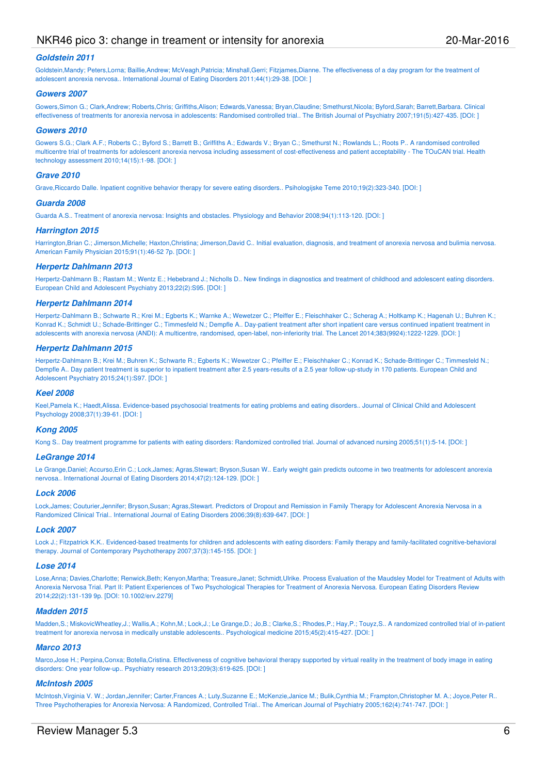## NKR46 pico 3: change in treament or intensity for anorexia 20 20-Mar-2016

#### **Goldstein 2011**

Goldstein,Mandy; Peters,Lorna; Baillie,Andrew; McVeagh,Patricia; Minshall,Gerri; Fitziames,Dianne, The effectiveness of a day program for the treatment of adolescent anorexia nervosa.. International Journal of Eating Disorders 2011;44(1):29-38. [DOI: ]

#### **Gowers 2007**

Gowers,Simon G.; Clark,Andrew; Roberts,Chris; Griffiths,Alison; Edwards,Vanessa; Bryan,Claudine; Smethurst,Nicola; Byford,Sarah; Barrett,Barbara. Clinical effectiveness of treatments for anorexia nervosa in adolescents: Randomised controlled trial.. The British Journal of Psychiatry 2007;191(5):427-435. [DOI: ]

#### **Gowers 2010**

Gowers S.G.; Clark A.F.; Roberts C.; Byford S.; Barrett B.; Griffiths A.; Edwards V.; Bryan C.; Smethurst N.; Rowlands L.; Roots P.. A randomised controlled multicentre trial of treatments for adolescent anorexia nervosa including assessment of cost-effectiveness and patient acceptability - The TOuCAN trial. Health technology assessment 2010;14(15):1-98. [DOI: ]

#### **Grave 2010**

Grave,Riccardo Dalle. Inpatient cognitive behavior therapy for severe eating disorders.. Psihologijske Teme 2010;19(2):323-340. [DOI: ]

#### **Guarda 2008**

Guarda A.S.. Treatment of anorexia nervosa: Insights and obstacles. Physiology and Behavior 2008;94(1):113-120. [DOI: ]

#### **Harrington 2015**

Harrington,Brian C.; Jimerson,Michelle; Haxton,Christina; Jimerson,David C., Initial evaluation, diagnosis, and treatment of anorexia nervosa and bulimia nervosa. American Family Physician 2015;91(1):46-52 7p. [DOI: ]

#### **Herpertz Dahlmann 2013**

Herpertz-Dahlmann B.; Rastam M.; Wentz E.; Hebebrand J.; Nicholls D.. New findings in diagnostics and treatment of childhood and adolescent eating disorders. European Child and Adolescent Psychiatry 2013;22(2):S95. [DOI: ]

#### **Herpertz Dahlmann 2014**

Herpertz-Dahlmann B.; Schwarte R.; Krei M.; Egberts K.; Warnke A.; Wewetzer C.; Pfeiffer E.; Fleischhaker C.; Scherag A.; Holtkamp K.; Hagenah U.; Buhren K.; Konrad K.; Schmidt U.; Schade-Brittinger C.; Timmesfeld N.; Dempfle A.. Day-patient treatment after short inpatient care versus continued inpatient treatment in adolescents with anorexia nervosa (ANDI): A multicentre, randomised, open-label, non-inferiority trial. The Lancet 2014;383(9924):1222-1229. [DOI: ]

#### **Herpertz Dahlmann 2015**

Herpertz-Dahlmann B.; Krei M.; Buhren K.; Schwarte R.; Egberts K.; Wewetzer C.; Pfeiffer E.; Fleischhaker C.; Konrad K.; Schade-Brittinger C.; Timmesfeld N.; Dempfle A.. Day patient treatment is superior to inpatient treatment after 2.5 years-results of a 2.5 year follow-up-study in 170 patients. European Child and Adolescent Psychiatry 2015;24(1):S97. [DOI: ]

#### **Keel 2008**

Keel,Pamela K.; Haedt,Alissa. Evidence-based psychosocial treatments for eating problems and eating disorders.. Journal of Clinical Child and Adolescent Psychology 2008;37(1):39-61. [DOI: ]

#### **Kong 2005**

Kong S.. Day treatment programme for patients with eating disorders: Randomized controlled trial. Journal of advanced nursing 2005;51(1):5-14. [DOI:]

#### **LeGrange 2014**

Le Grange,Daniel; Accurso,Erin C.; Lock,James; Agras,Stewart; Bryson,Susan W.. Early weight gain predicts outcome in two treatments for adolescent anorexia nervosa.. International Journal of Eating Disorders 2014;47(2):124-129. [DOI: ]

#### **Lock 2006**

Lock,James; Couturier,Jennifer; Bryson,Susan; Agras,Stewart. Predictors of Dropout and Remission in Family Therapy for Adolescent Anorexia Nervosa in a Randomized Clinical Trial.. International Journal of Eating Disorders 2006;39(8):639-647. [DOI: ]

#### **Lock 2007**

Lock J.: Fitzpatrick K.K.. Evidenced-based treatments for children and adolescents with eating disorders: Family therapy and family-facilitated cognitive-behavioral therapy. Journal of Contemporary Psychotherapy 2007;37(3):145-155. [DOI: ]

#### **Lose 2014**

Lose,Anna; Davies,Charlotte; Renwick,Beth; Kenyon,Martha; Treasure,Janet; Schmidt,Ulrike. Process Evaluation of the Maudsley Model for Treatment of Adults with Anorexia Nervosa Trial. Part II: Patient Experiences of Two Psychological Therapies for Treatment of Anorexia Nervosa. European Eating Disorders Review 2014;22(2):131-139 9p. [DOI: 10.1002/erv.2279]

#### **Madden 2015**

Madden,S.; MiskovicWheatley,J.; Wallis,A.; Kohn,M.; Lock,J.; Le Grange,D.; Jo,B.; Clarke,S.; Rhodes,P.; Hay,P.; Touyz,S.. A randomized controlled trial of in-patient treatment for anorexia nervosa in medically unstable adolescents.. Psychological medicine 2015;45(2):415-427. [DOI: ]

#### **Marco 2013**

Marco,Jose H.; Perpina,Conxa; Botella,Cristina. Effectiveness of cognitive behavioral therapy supported by virtual reality in the treatment of body image in eating disorders: One year follow-up.. Psychiatry research 2013;209(3):619-625. [DOI: ]

#### **McIntosh 2005**

McIntosh,Virginia V. W.; Jordan,Jennifer; Carter,Frances A.; Luty,Suzanne E.; McKenzie,Janice M.; Bulik,Cynthia M.; Frampton,Christopher M. A.; Joyce,Peter R.. Three Psychotherapies for Anorexia Nervosa: A Randomized, Controlled Trial.. The American Journal of Psychiatry 2005;162(4):741-747. [DOI: ]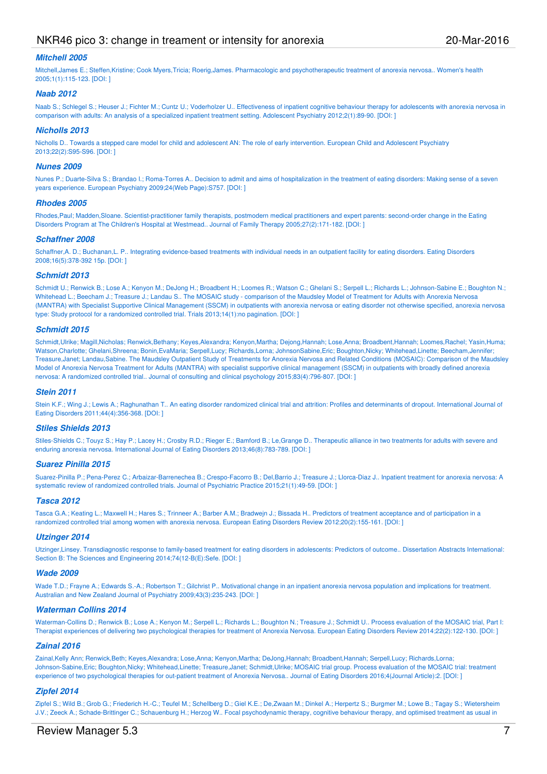## NKR46 pico 3: change in treament or intensity for anorexia 20 20-Mar-2016

#### **Mitchell 2005**

Mitchell,James E.; Steffen,Kristine; Cook Myers,Tricia; Roerig,James. Pharmacologic and psychotherapeutic treatment of anorexia nervosa.. Women's health 2005;1(1):115-123. [DOI: ]

#### **Naab 2012**

Naab S.; Schlegel S.; Heuser J.; Fichter M.; Cuntz U.; Voderholzer U.. Effectiveness of inpatient cognitive behaviour therapy for adolescents with anorexia nervosa in comparison with adults: An analysis of a specialized inpatient treatment setting. Adolescent Psychiatry 2012;2(1):89-90. [DOI: ]

#### **Nicholls 2013**

Nicholls D.. Towards a stepped care model for child and adolescent AN: The role of early intervention. European Child and Adolescent Psychiatry 2013;22(2):S95-S96. [DOI: ]

#### **Nunes 2009**

Nunes P.; Duarte-Silva S.; Brandao I.; Roma-Torres A.. Decision to admit and aims of hospitalization in the treatment of eating disorders: Making sense of a seven years experience. European Psychiatry 2009;24(Web Page):S757. [DOI: ]

#### **Rhodes 2005**

Rhodes,Paul; Madden,Sloane. Scientist-practitioner family therapists, postmodern medical practitioners and expert parents: second-order change in the Eating Disorders Program at The Children's Hospital at Westmead.. Journal of Family Therapy 2005;27(2):171-182. [DOI: ]

#### **Schaffner 2008**

Schaffner,A. D.; Buchanan,L. P.. Integrating evidence-based treatments with individual needs in an outpatient facility for eating disorders. Eating Disorders 2008;16(5):378-392 15p. [DOI: ]

#### **Schmidt 2013**

Schmidt U.; Renwick B.; Lose A.; Kenyon M.; DeJong H.; Broadbent H.; Loomes R.; Watson C.; Ghelani S.; Serpell L.; Richards L.; Johnson-Sabine E.; Boughton N.; Whitehead L.; Beecham J.; Treasure J.; Landau S.. The MOSAIC study - comparison of the Maudsley Model of Treatment for Adults with Anorexia Nervosa (MANTRA) with Specialist Supportive Clinical Management (SSCM) in outpatients with anorexia nervosa or eating disorder not otherwise specified, anorexia nervosa type: Study protocol for a randomized controlled trial. Trials 2013;14(1):no pagination. [DOI: ]

#### **Schmidt 2015**

Schmidt,Ulrike; Magill,Nicholas; Renwick,Bethany; Keyes,Alexandra; Kenyon,Martha; Dejong,Hannah; Lose,Anna; Broadbent,Hannah; Loomes,Rachel; Yasin,Huma; Watson,Charlotte; Ghelani,Shreena; Bonin,EvaMaria; Serpell,Lucy; Richards,Lorna; JohnsonSabine,Eric; Boughton,Nicky; Whitehead,Linette; Beecham,Jennifer; Treasure,Janet; Landau,Sabine. The Maudsley Outpatient Study of Treatments for Anorexia Nervosa and Related Conditions (MOSAIC): Comparison of the Maudsley Model of Anorexia Nervosa Treatment for Adults (MANTRA) with specialist supportive clinical management (SSCM) in outpatients with broadly defined anorexia nervosa: A randomized controlled trial.. Journal of consulting and clinical psychology 2015;83(4):796-807. [DOI: ]

#### **Stein 2011**

Stein K.F.; Wing J.; Lewis A.; Raghunathan T.. An eating disorder randomized clinical trial and attrition: Profiles and determinants of dropout. International Journal of Eating Disorders 2011;44(4):356-368. [DOI: ]

#### **Stiles Shields 2013**

Stiles-Shields C.; Touyz S.; Hay P.; Lacey H.; Crosby R.D.; Rieger E.; Bamford B.; Le,Grange D.. Therapeutic alliance in two treatments for adults with severe and enduring anorexia nervosa. International Journal of Eating Disorders 2013;46(8):783-789. [DOI: ]

#### **Suarez Pinilla 2015**

Suarez-Pinilla P.; Pena-Perez C.; Arbaizar-Barrenechea B.; Crespo-Facorro B.; Del,Barrio J.; Treasure J.; Llorca-Diaz J.. Inpatient treatment for anorexia nervosa: A systematic review of randomized controlled trials. Journal of Psychiatric Practice 2015;21(1):49-59. [DOI: ]

#### **Tasca 2012**

Tasca G.A.; Keating L.; Maxwell H.; Hares S.; Trinneer A.; Barber A.M.; Bradwejn J.; Bissada H.. Predictors of treatment acceptance and of participation in a randomized controlled trial among women with anorexia nervosa. European Eating Disorders Review 2012;20(2):155-161. [DOI: ]

#### **Utzinger 2014**

Utzinger,Linsey. Transdiagnostic response to family-based treatment for eating disorders in adolescents: Predictors of outcome.. Dissertation Abstracts International: Section B: The Sciences and Engineering 2014;74(12-B(E):Sefe. [DOI:]

#### **Wade 2009**

Wade T.D.; Frayne A.; Edwards S.-A.; Robertson T.; Gilchrist P.. Motivational change in an inpatient anorexia nervosa population and implications for treatment. Australian and New Zealand Journal of Psychiatry 2009;43(3):235-243. [DOI: ]

#### **Waterman Collins 2014**

Waterman-Collins D.; Renwick B.; Lose A.; Kenyon M.; Serpell L.; Richards L.; Boughton N.; Treasure J.; Schmidt U., Process evaluation of the MOSAIC trial, Part I: Therapist experiences of delivering two psychological therapies for treatment of Anorexia Nervosa. European Eating Disorders Review 2014;22(2):122-130. [DOI: ]

#### **Zainal 2016**

Zainal,Kelly Ann; Renwick,Beth; Keyes,Alexandra; Lose,Anna; Kenyon,Martha; DeJong,Hannah; Broadbent,Hannah; Serpell,Lucy; Richards,Lorna; Johnson-Sabine,Eric; Boughton,Nicky; Whitehead,Linette; Treasure,Janet; Schmidt,Ulrike; MOSAIC trial group. Process evaluation of the MOSAIC trial: treatment experience of two psychological therapies for out-patient treatment of Anorexia Nervosa.. Journal of Eating Disorders 2016;4(Journal Article):2. [DOI: ]

#### **Zipfel 2014**

Zipfel S.; Wild B.; Grob G.; Friederich H.-C.; Teufel M.; Schellberg D.; Giel K.E.; De,Zwaan M.; Dinkel A.; Herpertz S.; Burgmer M.; Lowe B.; Tagay S.; Wietersheim J.V.; Zeeck A.; Schade-Brittinger C.; Schauenburg H.; Herzog W.. Focal psychodynamic therapy, cognitive behaviour therapy, and optimised treatment as usual in